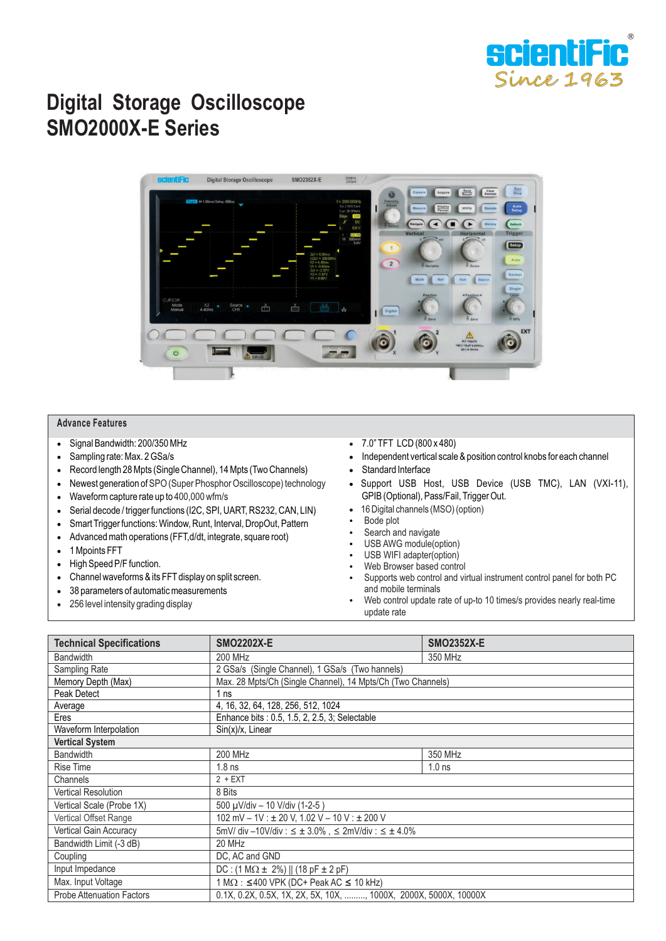

## **Digital Storage Oscilloscope SMO2000X-E Series**



## **Advance Features**

- Signal Bandwidth: 200/350 MHz
- Sampling rate: Max. 2 GSa/s
- Record length 28 Mpts (Single Channel), 14 Mpts (Two Channels)
- Newest generation of SPO (Super Phosphor Oscilloscope) technology
- Waveform capture rate up to 400,000 wfm/s
- Serial decode / trigger functions (I2C, SPI, UART, RS232, CAN, LIN)
- Smart Trigger functions: Window, Runt, Interval, DropOut, Pattern
- Advanced math operations (FFT,d/dt, integrate, square root)
- 1 Mpoints FFT
- High Speed P/F function.
- Channel waveforms & its FFT display on split screen.
- 38 parameters of automatic measurements
- 256 level intensity grading display
- 7.0" TFT LCD (800 x 480)
- Independent vertical scale & position control knobs for each channel
- Standard Interface
- Support USB Host, USB Device (USB TMC), LAN (VXI-11), GPIB (Optional), Pass/Fail, Trigger Out.
- 16 Digital channels (MSO) (option)
- Bode plot
- Search and navigate
- USB AWG module(option)
- USB WIFI adapter(option)
- Web Browser based control
- Supports web control and virtual instrument control panel for both PC and mobile terminals
- Web control update rate of up-to 10 times/s provides nearly real-time update rate

| <b>Technical Specifications</b>  | <b>SMO2202X-E</b>                                                | <b>SMO2352X-E</b> |
|----------------------------------|------------------------------------------------------------------|-------------------|
| <b>Bandwidth</b>                 | 200 MHz                                                          | 350 MHz           |
| Sampling Rate                    | 2 GSa/s (Single Channel), 1 GSa/s (Two hannels)                  |                   |
| Memory Depth (Max)               | Max. 28 Mpts/Ch (Single Channel), 14 Mpts/Ch (Two Channels)      |                   |
| Peak Detect                      | 1 <sub>ns</sub>                                                  |                   |
| Average                          | 4, 16, 32, 64, 128, 256, 512, 1024                               |                   |
| Eres                             | Enhance bits : 0.5, 1.5, 2, 2.5, 3; Selectable                   |                   |
| Waveform Interpolation           | $Sin(x)/x$ , Linear                                              |                   |
| <b>Vertical System</b>           |                                                                  |                   |
| Bandwidth                        | 200 MHz                                                          | 350 MHz           |
| <b>Rise Time</b>                 | $1.8$ ns                                                         | 1.0 <sub>ns</sub> |
| Channels                         | $2 + EXT$                                                        |                   |
| <b>Vertical Resolution</b>       | 8 Bits                                                           |                   |
| Vertical Scale (Probe 1X)        | 500 µV/div - 10 V/div (1-2-5)                                    |                   |
| Vertical Offset Range            | 102 mV - 1V : ± 20 V, 1.02 V - 10 V : ± 200 V                    |                   |
| <b>Vertical Gain Accuracy</b>    | $5mV/div - 10V/div : 5 \pm 3.0\%$ , $52mV/div : 5 \pm 4.0\%$     |                   |
| Bandwidth Limit (-3 dB)          | 20 MHz                                                           |                   |
| Coupling                         | DC, AC and GND                                                   |                   |
| Input Impedance                  | $DC: (1 M\Omega \pm 2\%)    (18 pF \pm 2 pF)$                    |                   |
| Max. Input Voltage               | $1 M\Omega$ : ≤400 VPK (DC+ Peak AC ≤ 10 kHz)                    |                   |
| <b>Probe Attenuation Factors</b> | 0.1X, 0.2X, 0.5X, 1X, 2X, 5X, 10X, , 1000X, 2000X, 5000X, 10000X |                   |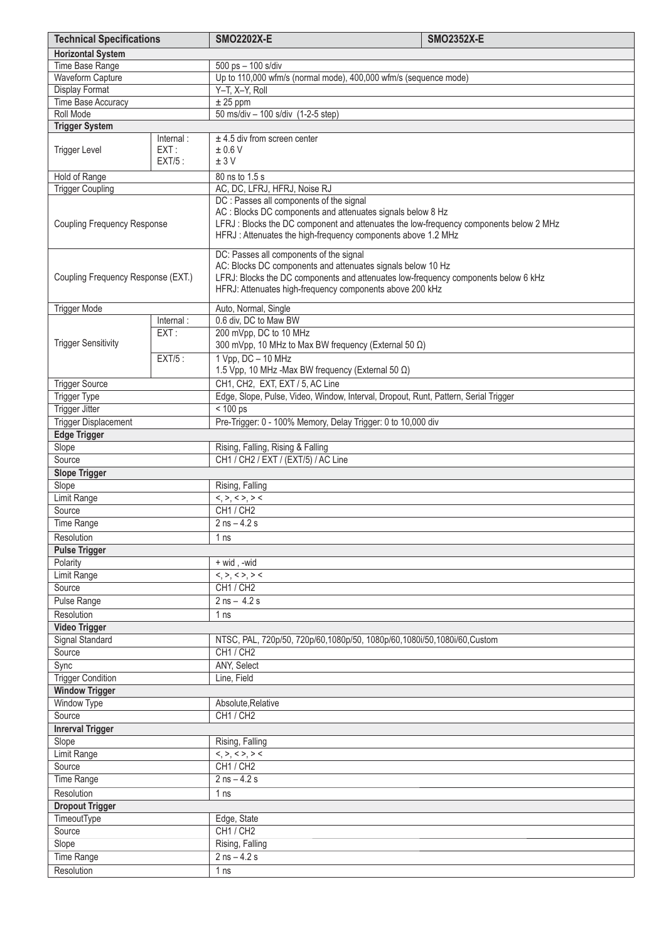| <b>Technical Specifications</b>    |                   | <b>SMO2202X-E</b>                                                                                                                                 | <b>SMO2352X-E</b> |
|------------------------------------|-------------------|---------------------------------------------------------------------------------------------------------------------------------------------------|-------------------|
| <b>Horizontal System</b>           |                   |                                                                                                                                                   |                   |
| Time Base Range                    |                   | 500 ps - 100 s/div                                                                                                                                |                   |
| Waveform Capture                   |                   | Up to 110,000 wfm/s (normal mode), 400,000 wfm/s (sequence mode)                                                                                  |                   |
| Display Format                     |                   | Y-T, X-Y, Roll                                                                                                                                    |                   |
| Time Base Accuracy                 |                   | $± 25$ ppm                                                                                                                                        |                   |
| Roll Mode                          |                   | 50 ms/div - 100 s/div (1-2-5 step)                                                                                                                |                   |
| <b>Trigger System</b>              |                   |                                                                                                                                                   |                   |
|                                    | Internal:         | $±$ 4.5 div from screen center                                                                                                                    |                   |
| <b>Trigger Level</b>               | EXT:<br>$EXT/5$ : | ±0.6V<br>±3V                                                                                                                                      |                   |
|                                    |                   |                                                                                                                                                   |                   |
| Hold of Range                      |                   | 80 ns to 1.5 s                                                                                                                                    |                   |
| <b>Trigger Coupling</b>            |                   | AC, DC, LFRJ, HFRJ, Noise RJ<br>DC : Passes all components of the signal                                                                          |                   |
|                                    |                   | AC : Blocks DC components and attenuates signals below 8 Hz                                                                                       |                   |
| <b>Coupling Frequency Response</b> |                   | LFRJ : Blocks the DC component and attenuates the low-frequency components below 2 MHz                                                            |                   |
|                                    |                   | HFRJ: Attenuates the high-frequency components above 1.2 MHz                                                                                      |                   |
|                                    |                   |                                                                                                                                                   |                   |
|                                    |                   | DC: Passes all components of the signal                                                                                                           |                   |
| Coupling Frequency Response (EXT.) |                   | AC: Blocks DC components and attenuates signals below 10 Hz<br>LFRJ: Blocks the DC components and attenuates low-frequency components below 6 kHz |                   |
|                                    |                   | HFRJ: Attenuates high-frequency components above 200 kHz                                                                                          |                   |
|                                    |                   |                                                                                                                                                   |                   |
| <b>Trigger Mode</b>                |                   | Auto, Normal, Single                                                                                                                              |                   |
|                                    | Internal:         | 0.6 div, DC to Maw BW                                                                                                                             |                   |
| <b>Trigger Sensitivity</b>         | EXT:              | 200 mVpp, DC to 10 MHz                                                                                                                            |                   |
|                                    |                   | 300 mVpp, 10 MHz to Max BW frequency (External 50 Ω)                                                                                              |                   |
|                                    | $EXT/5$ :         | $1 Vpp, DC - 10 MHz$                                                                                                                              |                   |
|                                    |                   | 1.5 Vpp, 10 MHz -Max BW frequency (External 50 $\Omega$ )                                                                                         |                   |
| <b>Trigger Source</b>              |                   | CH1, CH2, EXT, EXT / 5, AC Line                                                                                                                   |                   |
| Trigger Type                       |                   | Edge, Slope, Pulse, Video, Window, Interval, Dropout, Runt, Pattern, Serial Trigger                                                               |                   |
| <b>Trigger Jitter</b>              |                   | $< 100$ ps                                                                                                                                        |                   |
| <b>Trigger Displacement</b>        |                   | Pre-Trigger: 0 - 100% Memory, Delay Trigger: 0 to 10,000 div                                                                                      |                   |
| <b>Edge Trigger</b><br>Slope       |                   | Rising, Falling, Rising & Falling                                                                                                                 |                   |
| Source                             |                   | CH1 / CH2 / EXT / (EXT/5) / AC Line                                                                                                               |                   |
| <b>Slope Trigger</b>               |                   |                                                                                                                                                   |                   |
| Slope                              |                   | Rising, Falling                                                                                                                                   |                   |
| Limit Range                        |                   | <,>,<>,>                                                                                                                                          |                   |
| Source                             |                   | CH1 / CH2                                                                                                                                         |                   |
| Time Range                         |                   | $2$ ns $-$ 4.2 s                                                                                                                                  |                   |
| Resolution                         |                   | 1 <sub>ns</sub>                                                                                                                                   |                   |
| <b>Pulse Trigger</b>               |                   |                                                                                                                                                   |                   |
| Polarity                           |                   | + wid, -wid                                                                                                                                       |                   |
| <b>Limit Range</b>                 |                   | <,>,<>,>                                                                                                                                          |                   |
| Source                             |                   | CH1 / CH2                                                                                                                                         |                   |
| Pulse Range                        |                   | $2$ ns $-4.2$ s                                                                                                                                   |                   |
| Resolution                         |                   | 1 ns                                                                                                                                              |                   |
| <b>Video Trigger</b>               |                   |                                                                                                                                                   |                   |
| Signal Standard                    |                   | NTSC, PAL, 720p/50, 720p/60,1080p/50, 1080p/60,1080i/50,1080i/60,Custom                                                                           |                   |
| Source                             |                   | CH1 / CH2                                                                                                                                         |                   |
| Sync                               |                   | ANY, Select                                                                                                                                       |                   |
| <b>Trigger Condition</b>           |                   | Line, Field                                                                                                                                       |                   |
| <b>Window Trigger</b>              |                   |                                                                                                                                                   |                   |
| Window Type                        |                   | Absolute, Relative                                                                                                                                |                   |
| Source                             |                   | CH1 / CH2                                                                                                                                         |                   |
| <b>Inrerval Trigger</b>            |                   |                                                                                                                                                   |                   |
| Slope                              |                   | Rising, Falling                                                                                                                                   |                   |
| Limit Range                        |                   | $<,>,<>,>$                                                                                                                                        |                   |
| Source                             |                   | CH1 / CH2                                                                                                                                         |                   |
| Time Range                         | $2$ ns $-$ 4.2 s  |                                                                                                                                                   |                   |
| Resolution                         |                   | 1 <sub>ns</sub>                                                                                                                                   |                   |
| <b>Dropout Trigger</b>             |                   |                                                                                                                                                   |                   |
| TimeoutType                        | Edge, State       |                                                                                                                                                   |                   |
| Source                             |                   | CH1/CH2                                                                                                                                           |                   |
| Slope                              | Rising, Falling   |                                                                                                                                                   |                   |
| Time Range                         |                   | $2$ ns $- 4.2$ s                                                                                                                                  |                   |
| Resolution                         | 1 ns              |                                                                                                                                                   |                   |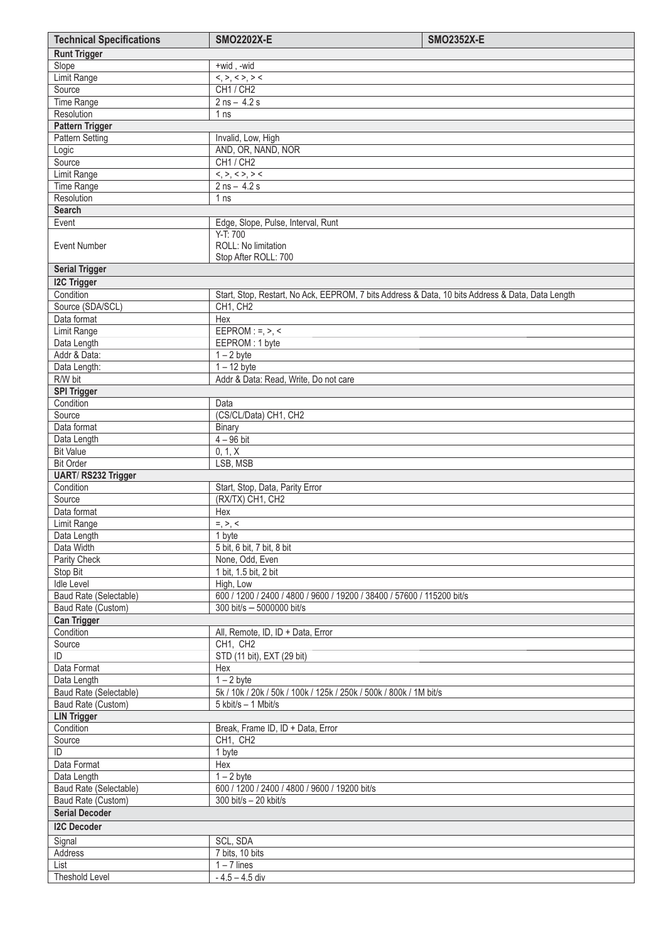| <b>Technical Specifications</b>      | <b>SMO2202X-E</b>                                                                                | <b>SMO2352X-E</b> |
|--------------------------------------|--------------------------------------------------------------------------------------------------|-------------------|
| <b>Runt Trigger</b>                  |                                                                                                  |                   |
| Slope                                | +wid, -wid                                                                                       |                   |
| Limit Range                          | <,>,<>,>                                                                                         |                   |
| Source                               | CH1 / CH2                                                                                        |                   |
| Time Range                           | $2$ ns $- 4.2$ s                                                                                 |                   |
| Resolution<br><b>Pattern Trigger</b> | 1 ns                                                                                             |                   |
| Pattern Setting                      | Invalid, Low, High                                                                               |                   |
| Logic                                | AND, OR, NAND, NOR                                                                               |                   |
| Source                               | CH1 / CH2                                                                                        |                   |
| Limit Range                          | <,>,<>,>                                                                                         |                   |
| Time Range                           | $2$ ns $- 4.2$ s                                                                                 |                   |
| Resolution                           | 1 <sub>ns</sub>                                                                                  |                   |
| <b>Search</b>                        |                                                                                                  |                   |
| Event                                | Edge, Slope, Pulse, Interval, Runt                                                               |                   |
| <b>Event Number</b>                  | Y-T: 700<br>ROLL: No limitation<br>Stop After ROLL: 700                                          |                   |
| <b>Serial Trigger</b>                |                                                                                                  |                   |
| <b>I2C Trigger</b>                   |                                                                                                  |                   |
| Condition                            | Start, Stop, Restart, No Ack, EEPROM, 7 bits Address & Data, 10 bits Address & Data, Data Length |                   |
| Source (SDA/SCL)                     | CH1, CH2                                                                                         |                   |
| Data format                          | Hex                                                                                              |                   |
| Limit Range                          | EEPROM: $=$ , $>$ , $\lt$                                                                        |                   |
| Data Length                          | EEPROM: 1 byte                                                                                   |                   |
| Addr & Data:                         | $1 - 2$ byte                                                                                     |                   |
| Data Length:<br>R/W bit              | $1 - 12$ byte<br>Addr & Data: Read, Write, Do not care                                           |                   |
| <b>SPI Trigger</b>                   |                                                                                                  |                   |
| Condition                            | Data                                                                                             |                   |
| Source                               | (CS/CL/Data) CH1, CH2                                                                            |                   |
| Data format                          | Binary                                                                                           |                   |
| Data Length                          | $4 - 96$ bit                                                                                     |                   |
| <b>Bit Value</b>                     | 0, 1, X                                                                                          |                   |
| <b>Bit Order</b>                     | LSB, MSB                                                                                         |                   |
| UART/RS232 Trigger                   |                                                                                                  |                   |
| Condition                            | Start, Stop, Data, Parity Error                                                                  |                   |
| Source                               | (RX/TX) CH1, CH2                                                                                 |                   |
| Data format                          | Hex                                                                                              |                   |
| Limit Range<br>Data Length           | $=, >, <$<br>1 byte                                                                              |                   |
| Data Width                           | 5 bit, 6 bit, 7 bit, 8 bit                                                                       |                   |
| Parity Check                         | None, Odd, Even                                                                                  |                   |
| Stop Bit                             | 1 bit, 1.5 bit, 2 bit                                                                            |                   |
| <b>Idle Level</b>                    | High, Low                                                                                        |                   |
| Baud Rate (Selectable)               | 600 / 1200 / 2400 / 4800 / 9600 / 19200 / 38400 / 57600 / 115200 bit/s                           |                   |
| Baud Rate (Custom)                   | 300 bit/s - 5000000 bit/s                                                                        |                   |
| <b>Can Trigger</b>                   |                                                                                                  |                   |
| Condition                            | All, Remote, ID, ID + Data, Error                                                                |                   |
| Source<br>ID                         | CH1, CH2                                                                                         |                   |
| Data Format                          | STD (11 bit), EXT (29 bit)                                                                       |                   |
| Data Length                          | Hex<br>$1 - 2$ byte                                                                              |                   |
| Baud Rate (Selectable)               | 5k / 10k / 20k / 50k / 100k / 125k / 250k / 500k / 800k / 1M bit/s                               |                   |
| Baud Rate (Custom)                   | 5 kbit/s - 1 Mbit/s                                                                              |                   |
| <b>LIN Trigger</b>                   |                                                                                                  |                   |
| Condition                            | Break, Frame ID, ID + Data, Error                                                                |                   |
| Source                               | CH1, CH2                                                                                         |                   |
| ID                                   | 1 byte                                                                                           |                   |
| Data Format                          | Hex                                                                                              |                   |
| Data Length                          | $1 - 2$ byte                                                                                     |                   |
| Baud Rate (Selectable)               | 600 / 1200 / 2400 / 4800 / 9600 / 19200 bit/s                                                    |                   |
| Baud Rate (Custom)                   | 300 bit/s - 20 kbit/s                                                                            |                   |
| <b>Serial Decoder</b>                |                                                                                                  |                   |
| <b>I2C Decoder</b>                   |                                                                                                  |                   |
| Signal                               | SCL, SDA                                                                                         |                   |
| Address<br>List                      | 7 bits, 10 bits                                                                                  |                   |
| <b>Theshold Level</b>                | $1 - 7$ lines<br>$-4.5 - 4.5$ div                                                                |                   |
|                                      |                                                                                                  |                   |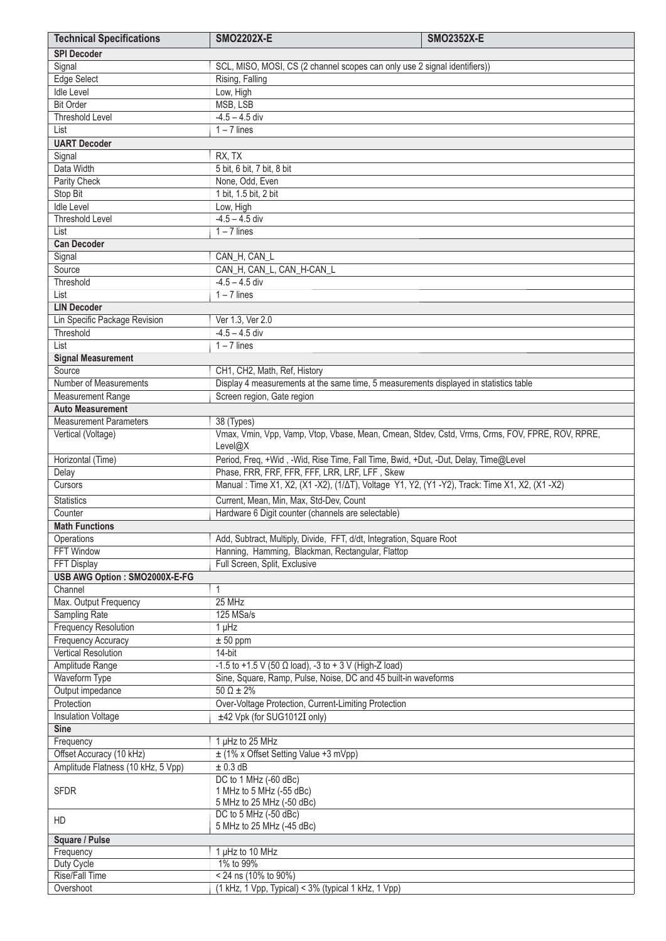| <b>Technical Specifications</b>                                      | <b>SMO2202X-E</b>                                                                                  | <b>SMO2352X-E</b> |
|----------------------------------------------------------------------|----------------------------------------------------------------------------------------------------|-------------------|
| <b>SPI Decoder</b>                                                   |                                                                                                    |                   |
| Signal                                                               | SCL, MISO, MOSI, CS (2 channel scopes can only use 2 signal identifiers))                          |                   |
| Edge Select                                                          | Rising, Falling                                                                                    |                   |
| <b>Idle Level</b>                                                    | Low, High                                                                                          |                   |
| <b>Bit Order</b>                                                     | MSB, LSB                                                                                           |                   |
| <b>Threshold Level</b>                                               | $-4.5 - 4.5$ div                                                                                   |                   |
| List                                                                 | $1 - 7$ lines                                                                                      |                   |
| <b>UART Decoder</b>                                                  |                                                                                                    |                   |
| Signal                                                               | RX, TX                                                                                             |                   |
| Data Width                                                           | 5 bit, 6 bit, 7 bit, 8 bit                                                                         |                   |
| Parity Check                                                         | None, Odd, Even                                                                                    |                   |
| Stop Bit                                                             | 1 bit, 1.5 bit, 2 bit                                                                              |                   |
| <b>Idle Level</b>                                                    | Low, High                                                                                          |                   |
| <b>Threshold Level</b>                                               | $-4.5 - 4.5$ div                                                                                   |                   |
| List                                                                 | $1 - 7$ lines                                                                                      |                   |
| <b>Can Decoder</b>                                                   |                                                                                                    |                   |
| Signal                                                               | CAN_H, CAN_L                                                                                       |                   |
| Source                                                               | CAN H, CAN L, CAN H-CAN L                                                                          |                   |
| Threshold                                                            | $-4.5 - 4.5$ div                                                                                   |                   |
| List                                                                 | $1 - 7$ lines                                                                                      |                   |
| <b>LIN Decoder</b>                                                   |                                                                                                    |                   |
| Lin Specific Package Revision                                        | Ver 1.3, Ver 2.0                                                                                   |                   |
| Threshold                                                            | $-4.5 - 4.5$ div                                                                                   |                   |
| List                                                                 | $1 - 7$ lines                                                                                      |                   |
| <b>Signal Measurement</b>                                            |                                                                                                    |                   |
| Source                                                               | CH1, CH2, Math, Ref, History                                                                       |                   |
| Number of Measurements                                               | Display 4 measurements at the same time, 5 measurements displayed in statistics table              |                   |
| <b>Measurement Range</b>                                             | Screen region, Gate region                                                                         |                   |
| <b>Auto Measurement</b>                                              |                                                                                                    |                   |
| <b>Measurement Parameters</b>                                        | 38 (Types)                                                                                         |                   |
| Vertical (Voltage)                                                   | Vmax, Vmin, Vpp, Vamp, Vtop, Vbase, Mean, Cmean, Stdev, Cstd, Vrms, Crms, FOV, FPRE, ROV, RPRE,    |                   |
|                                                                      | Level@X                                                                                            |                   |
| Horizontal (Time)                                                    | Period, Freq, +Wid, -Wid, Rise Time, Fall Time, Bwid, +Dut, -Dut, Delay, Time@Level                |                   |
| Delay                                                                | Phase, FRR, FRF, FFR, FFF, LRR, LRF, LFF, Skew                                                     |                   |
| Cursors                                                              | Manual : Time X1, X2, (X1 - X2), (1/ AT), Voltage Y1, Y2, (Y1 - Y2), Track: Time X1, X2, (X1 - X2) |                   |
| <b>Statistics</b>                                                    | Current, Mean, Min, Max, Std-Dev, Count                                                            |                   |
| Counter                                                              | Hardware 6 Digit counter (channels are selectable)                                                 |                   |
| <b>Math Functions</b>                                                |                                                                                                    |                   |
| Operations                                                           | Add, Subtract, Multiply, Divide, FFT, d/dt, Integration, Square Root                               |                   |
| <b>FFT Window</b>                                                    | Hanning, Hamming, Blackman, Rectangular, Flattop                                                   |                   |
| FFT Display                                                          | Full Screen, Split, Exclusive                                                                      |                   |
| USB AWG Option: SMO2000X-E-FG                                        |                                                                                                    |                   |
| Channel                                                              | 1                                                                                                  |                   |
| Max. Output Frequency                                                | 25 MHz                                                                                             |                   |
| Sampling Rate                                                        | $125$ MSa/s                                                                                        |                   |
| <b>Frequency Resolution</b>                                          | $1$ $\mu$ Hz                                                                                       |                   |
| <b>Frequency Accuracy</b>                                            | ± 50 ppm                                                                                           |                   |
| Vertical Resolution<br>Amplitude Range                               | 14-bit                                                                                             |                   |
| Waveform Type                                                        | -1.5 to +1.5 V (50 Ω load), -3 to + 3 V (High-Z load)                                              |                   |
| Output impedance                                                     | Sine, Square, Ramp, Pulse, Noise, DC and 45 built-in waveforms                                     |                   |
| Protection                                                           | $50 \Omega \pm 2\%$                                                                                |                   |
|                                                                      | Over-Voltage Protection, Current-Limiting Protection                                               |                   |
| <b>Insulation Voltage</b><br><b>Sine</b>                             | ±42 Vpk (for SUG1012I only)                                                                        |                   |
| Frequency                                                            | 1 µHz to 25 MHz                                                                                    |                   |
| Offset Accuracy (10 kHz)                                             | ± (1% x Offset Setting Value +3 mVpp)                                                              |                   |
| Amplitude Flatness (10 kHz, 5 Vpp)                                   | $± 0.3$ dB                                                                                         |                   |
|                                                                      | DC to 1 MHz (-60 dBc)                                                                              |                   |
| 1 MHz to 5 MHz (-55 dBc)<br><b>SFDR</b><br>5 MHz to 25 MHz (-50 dBc) |                                                                                                    |                   |
|                                                                      |                                                                                                    |                   |
|                                                                      | DC to 5 MHz (-50 dBc)                                                                              |                   |
| HD                                                                   | 5 MHz to 25 MHz (-45 dBc)                                                                          |                   |
| <b>Square / Pulse</b>                                                |                                                                                                    |                   |
| Frequency                                                            | 1 µHz to 10 MHz                                                                                    |                   |
| Duty Cycle                                                           | 1% to 99%                                                                                          |                   |
| Rise/Fall Time                                                       | < 24 ns (10% to 90%)                                                                               |                   |
| Overshoot                                                            | (1 kHz, 1 Vpp, Typical) < 3% (typical 1 kHz, 1 Vpp)                                                |                   |